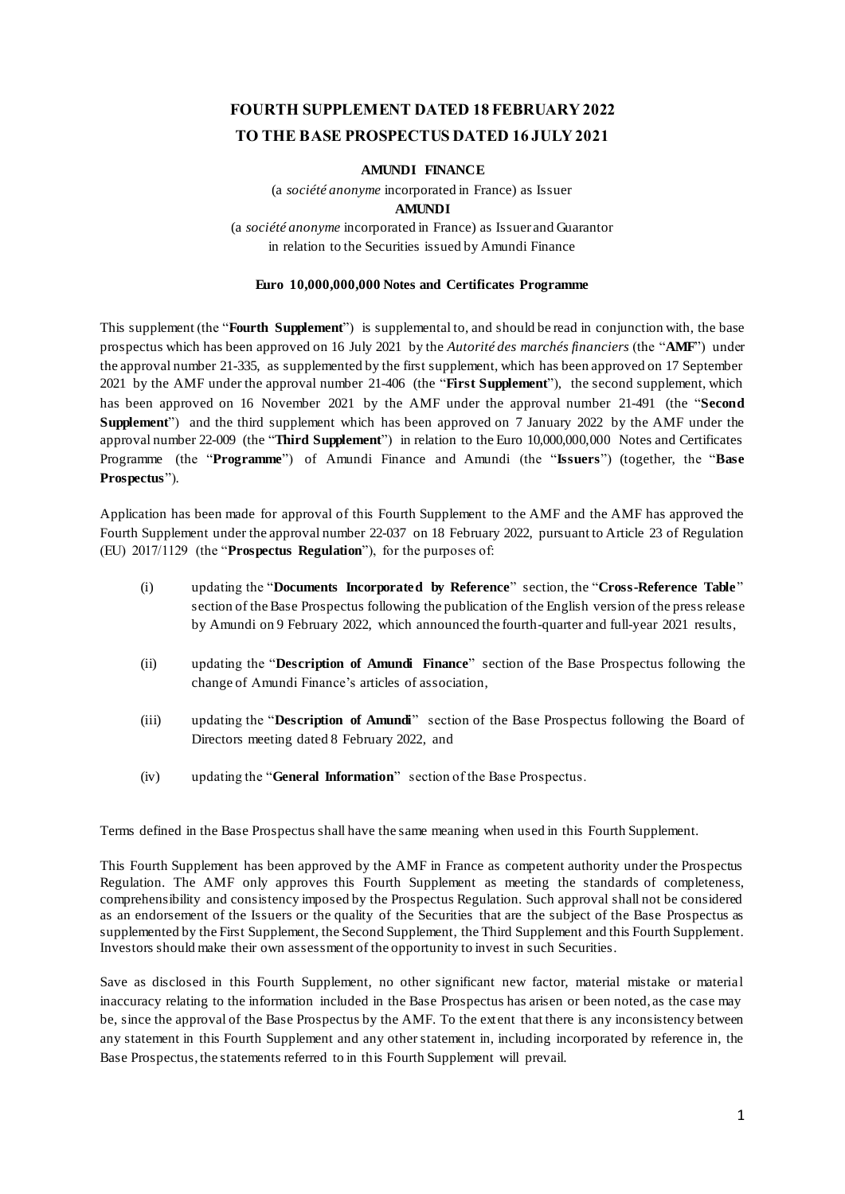# **FOURTH SUPPLEMENT DATED 18 FEBRUARY 2022 TO THE BASE PROSPECTUS DATED 16 JULY 2021**

#### **AMUNDI FINANCE**

(a *société anonyme* incorporated in France) as Issuer

#### **AMUNDI**

(a *société anonyme* incorporated in France) as Issuer and Guarantor in relation to the Securities issued by Amundi Finance

# **Euro 10,000,000,000 Notes and Certificates Programme**

This supplement (the "**Fourth Supplement**") is supplemental to, and should be read in conjunction with, the base prospectus which has been approved on 16 July 2021 by the *Autorité des marchés financiers* (the "**AMF**") under the approval number 21-335, as supplemented by the first supplement, which has been approved on 17 September 2021 by the AMF under the approval number 21-406 (the "**First Supplement**"), the second supplement, which has been approved on 16 November 2021 by the AMF under the approval number 21-491 (the "**Second Supplement**") and the third supplement which has been approved on 7 January 2022 by the AMF under the approval number 22-009 (the "**Third Supplement**") in relation to the Euro 10,000,000,000 Notes and Certificates Programme (the "**Programme**") of Amundi Finance and Amundi (the "**Issuers**") (together, the "**Base Prospectus**").

Application has been made for approval of this Fourth Supplement to the AMF and the AMF has approved the Fourth Supplement under the approval number 22-037 on 18 February 2022, pursuant to Article 23 of Regulation (EU) 2017/1129 (the "**Prospectus Regulation**"), for the purposes of:

- (i) updating the "**Documents Incorporated by Reference**" section, the "**Cross-Reference Table**" section of the Base Prospectus following the publication of the English version of the press release by Amundi on 9 February 2022, which announced the fourth-quarter and full-year 2021 results,
- (ii) updating the "**Description of Amundi Finance**" section of the Base Prospectus following the change of Amundi Finance's articles of association,
- (iii) updating the "**Description of Amundi**" section of the Base Prospectus following the Board of Directors meeting dated 8 February 2022, and
- (iv) updating the "**General Information**" section of the Base Prospectus.

Terms defined in the Base Prospectus shall have the same meaning when used in this Fourth Supplement.

This Fourth Supplement has been approved by the AMF in France as competent authority under the Prospectus Regulation. The AMF only approves this Fourth Supplement as meeting the standards of completeness, comprehensibility and consistency imposed by the Prospectus Regulation. Such approval shall not be considered as an endorsement of the Issuers or the quality of the Securities that are the subject of the Base Prospectus as supplemented by the First Supplement, the Second Supplement, the Third Supplement and this Fourth Supplement. Investors should make their own assessment of the opportunity to invest in such Securities.

Save as disclosed in this Fourth Supplement, no other significant new factor, material mistake or material inaccuracy relating to the information included in the Base Prospectus has arisen or been noted, as the case may be, since the approval of the Base Prospectus by the AMF. To the extent that there is any inconsistency between any statement in this Fourth Supplement and any other statement in, including incorporated by reference in, the Base Prospectus, the statements referred to in this Fourth Supplement will prevail.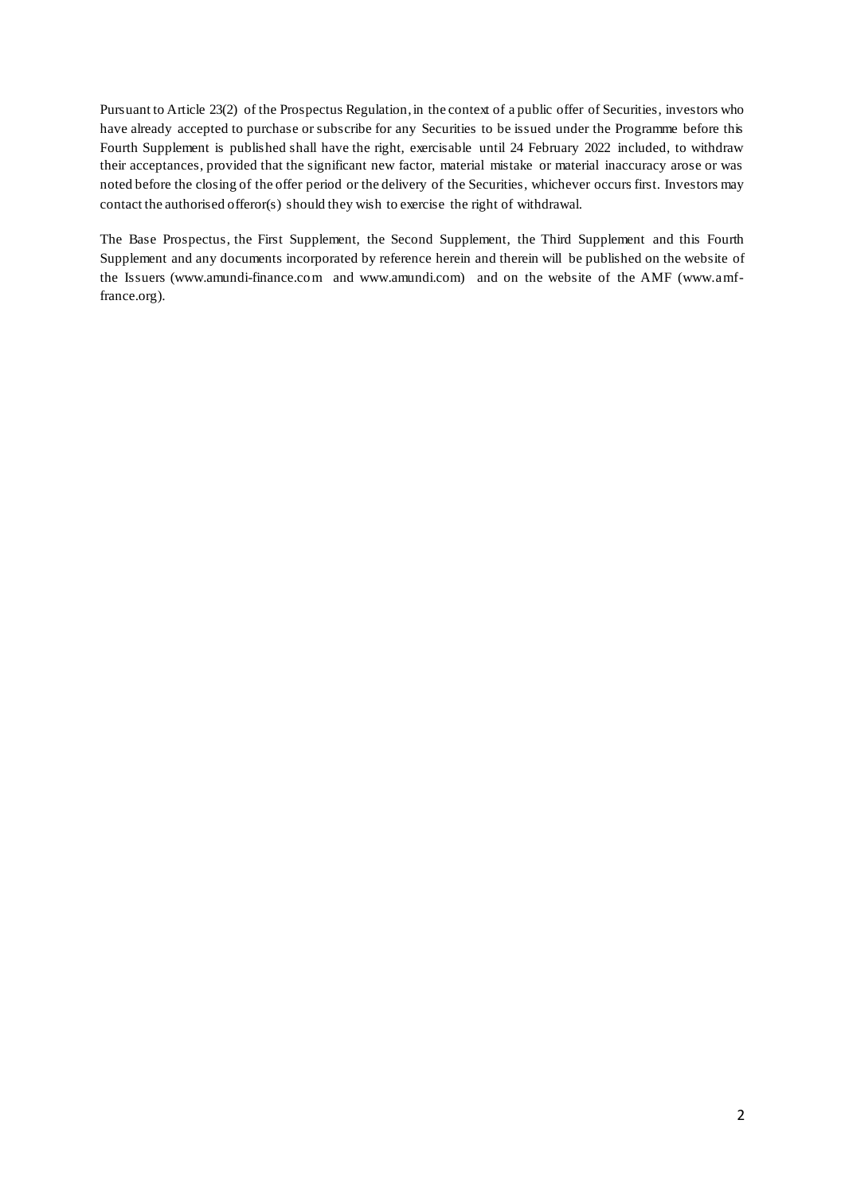Pursuant to Article 23(2) of the Prospectus Regulation, in the context of a public offer of Securities, investors who have already accepted to purchase or subscribe for any Securities to be issued under the Programme before this Fourth Supplement is published shall have the right, exercisable until 24 February 2022 included, to withdraw their acceptances, provided that the significant new factor, material mistake or material inaccuracy arose or was noted before the closing of the offer period or the delivery of the Securities, whichever occurs first. Investors may contact the authorised offeror(s) should they wish to exercise the right of withdrawal.

The Base Prospectus, the First Supplement, the Second Supplement, the Third Supplement and this Fourth Supplement and any documents incorporated by reference herein and therein will be published on the website of the Issuers (www.amundi-finance.com and www.amundi.com) and on the website of the AMF (www.amffrance.org).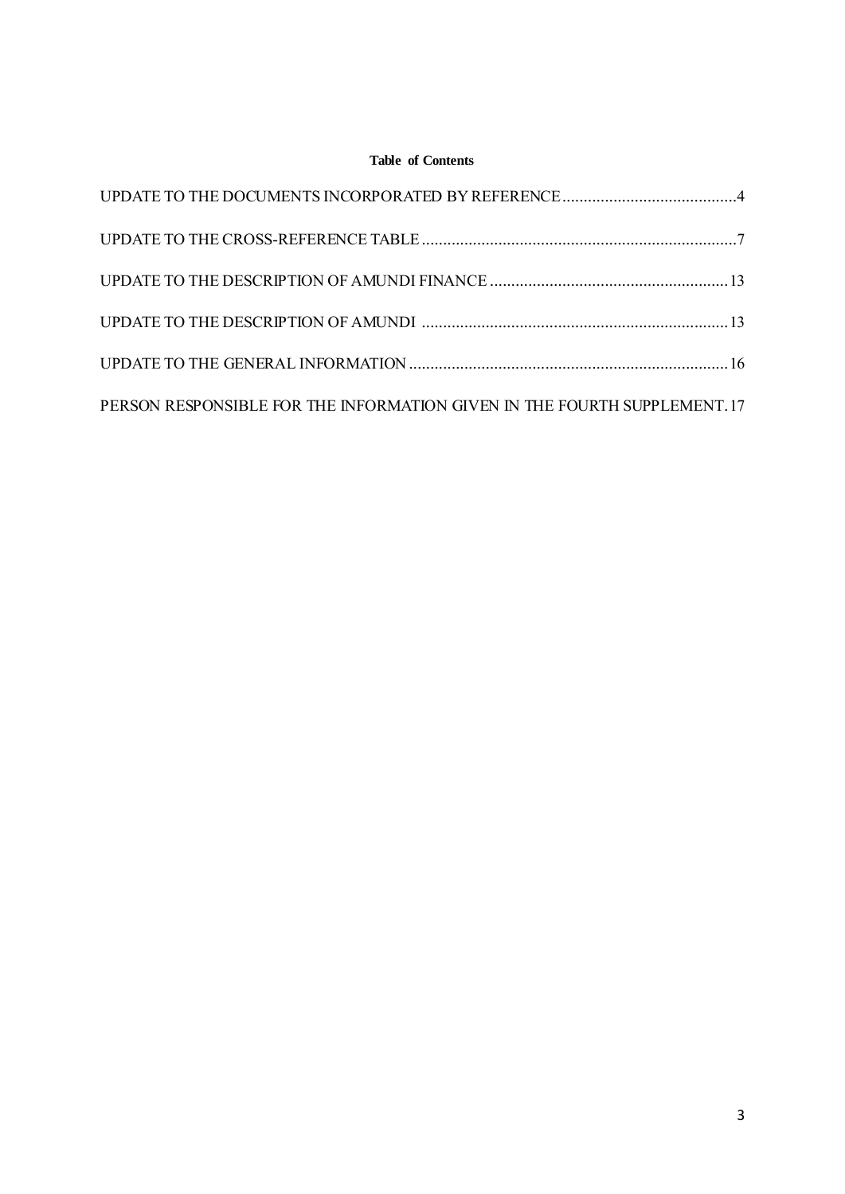# **Table of Contents**

| PERSON RESPONSIBLE FOR THE INFORMATION GIVEN IN THE FOURTH SUPPLEMENT. 17 |  |
|---------------------------------------------------------------------------|--|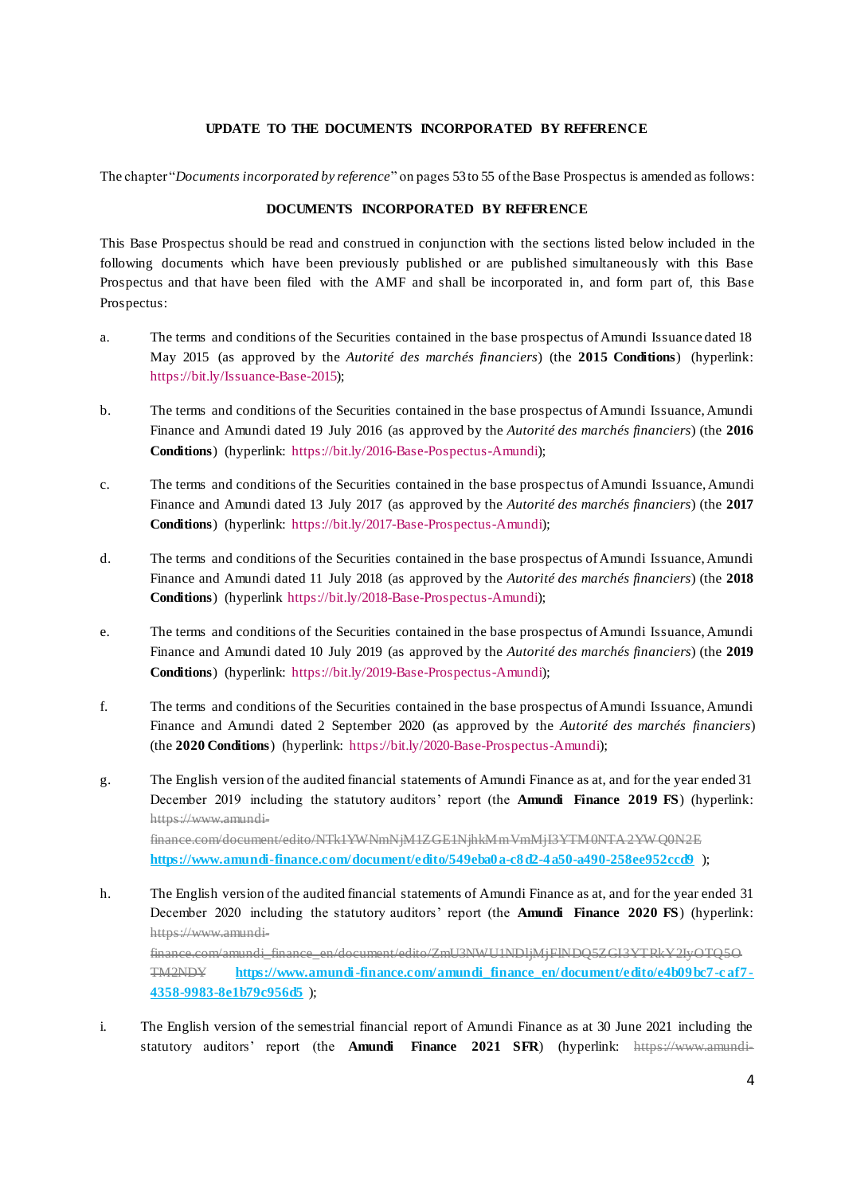# **UPDATE TO THE DOCUMENTS INCORPORATED BY REFERENCE**

<span id="page-3-0"></span>The chapter "*Documents incorporated by reference*" on pages 53 to 55 of the Base Prospectus is amended as follows:

### **DOCUMENTS INCORPORATED BY REFERENCE**

This Base Prospectus should be read and construed in conjunction with the sections listed below included in the following documents which have been previously published or are published simultaneously with this Base Prospectus and that have been filed with the AMF and shall be incorporated in, and form part of, this Base Prospectus:

- a. The terms and conditions of the Securities contained in the base prospectus of Amundi Issuance dated 18 May 2015 (as approved by the *Autorité des marchés financiers*) (the **2015 Conditions**) (hyperlink: [https://bit.ly/Issuance-Base-2015\)](https://bit.ly/Issuance-Base-2015);
- b. The terms and conditions of the Securities contained in the base prospectus of Amundi Issuance, Amundi Finance and Amundi dated 19 July 2016 (as approved by the *Autorité des marchés financiers*) (the **2016 Conditions**) (hyperlink: [https://bit.ly/2016-Base-Pospectus-Amundi\)](https://bit.ly/2016-Base-Pospectus-Amundi);
- c. The terms and conditions of the Securities contained in the base prospectus of Amundi Issuance, Amundi Finance and Amundi dated 13 July 2017 (as approved by the *Autorité des marchés financiers*) (the **2017 Conditions**) (hyperlink: [https://bit.ly/2017-Base-Prospectus-Amundi\)](https://bit.ly/2017-Base-Prospectus-Amundi);
- d. The terms and conditions of the Securities contained in the base prospectus of Amundi Issuance, Amundi Finance and Amundi dated 11 July 2018 (as approved by the *Autorité des marchés financiers*) (the **2018 Conditions**) (hyperlink [https://bit.ly/2018-Base-Prospectus-Amundi\)](https://bit.ly/2018-Base-Prospectus-Amundi);
- e. The terms and conditions of the Securities contained in the base prospectus of Amundi Issuance, Amundi Finance and Amundi dated 10 July 2019 (as approved by the *Autorité des marchés financiers*) (the **2019 Conditions**) (hyperlink: [https://bit.ly/2019-Base-Prospectus-Amundi\)](https://bit.ly/2019-Base-Prospectus-Amundi);
- f. The terms and conditions of the Securities contained in the base prospectus of Amundi Issuance, Amundi Finance and Amundi dated 2 September 2020 (as approved by the *Autorité des marchés financiers*) (the **2020 Conditions**) (hyperlink: [https://bit.ly/2020-Base-Prospectus-Amundi\)](https://bit.ly/2020-Base-Prospectus-Amundi);
- g. The English version of the audited financial statements of Amundi Finance as at, and for the year ended 31 December 2019 including the statutory auditors' report (the **Amundi Finance 2019 FS**) (hyperlink: [https://www.amundi](https://www.amundi-finance.com/document/edito/NTk1YWNmNjM1ZGE1NjhkMmVmMjI3YTM0NTA2YWQ0N2E)[finance.com/document/edito/NTk1YWNmNjM1ZGE1NjhkMmVmMjI3YTM0NTA2YW Q0N2E](https://www.amundi-finance.com/document/edito/NTk1YWNmNjM1ZGE1NjhkMmVmMjI3YTM0NTA2YWQ0N2E) **<https://www.amundi-finance.com/document/edito/549eba0a-c8d2-4a50-a490-258ee952ccd9>** );
- h. The English version of the audited financial statements of Amundi Finance as at, and for the year ended 31 December 2020 including the statutory auditors' report (the **Amundi Finance 2020 FS**) (hyperlink: [https://www.amundi](https://www.amundi-finance.com/amundi_finance_en/document/edito/ZmU3NWU1NDljMjFlNDQ5ZGI3YTRkY2IyOTQ5OTM2NDY)[finance.com/amundi\\_finance\\_en/document/edito/ZmU3NWU1NDljMjFlNDQ5ZGI3YTRkY2IyOTQ5O](https://www.amundi-finance.com/amundi_finance_en/document/edito/ZmU3NWU1NDljMjFlNDQ5ZGI3YTRkY2IyOTQ5OTM2NDY) [TM2NDY](https://www.amundi-finance.com/amundi_finance_en/document/edito/ZmU3NWU1NDljMjFlNDQ5ZGI3YTRkY2IyOTQ5OTM2NDY) **[https://www.amundi-finance.com/amundi\\_finance\\_en/document/edito/e4b09bc7-c af7-](https://www.amundi-finance.com/amundi_finance_en/document/edito/e4b09bc7-caf7-4358-9983-8e1b79c956d5) [4358-9983-8e1b79c956d5](https://www.amundi-finance.com/amundi_finance_en/document/edito/e4b09bc7-caf7-4358-9983-8e1b79c956d5)** );
- i. The English version of the semestrial financial report of Amundi Finance as at 30 June 2021 including the statutory auditors' report (the **Amundi Finance 2021 SFR**) (hyperlink: [https://www.amundi-](https://www.amundi-finance.com/amundi_finance_en/document/edito/Y2M0ZGUzOTQ4YmE2MmQ5NmRjOWY3NWQ0NWY4MTlkZmU)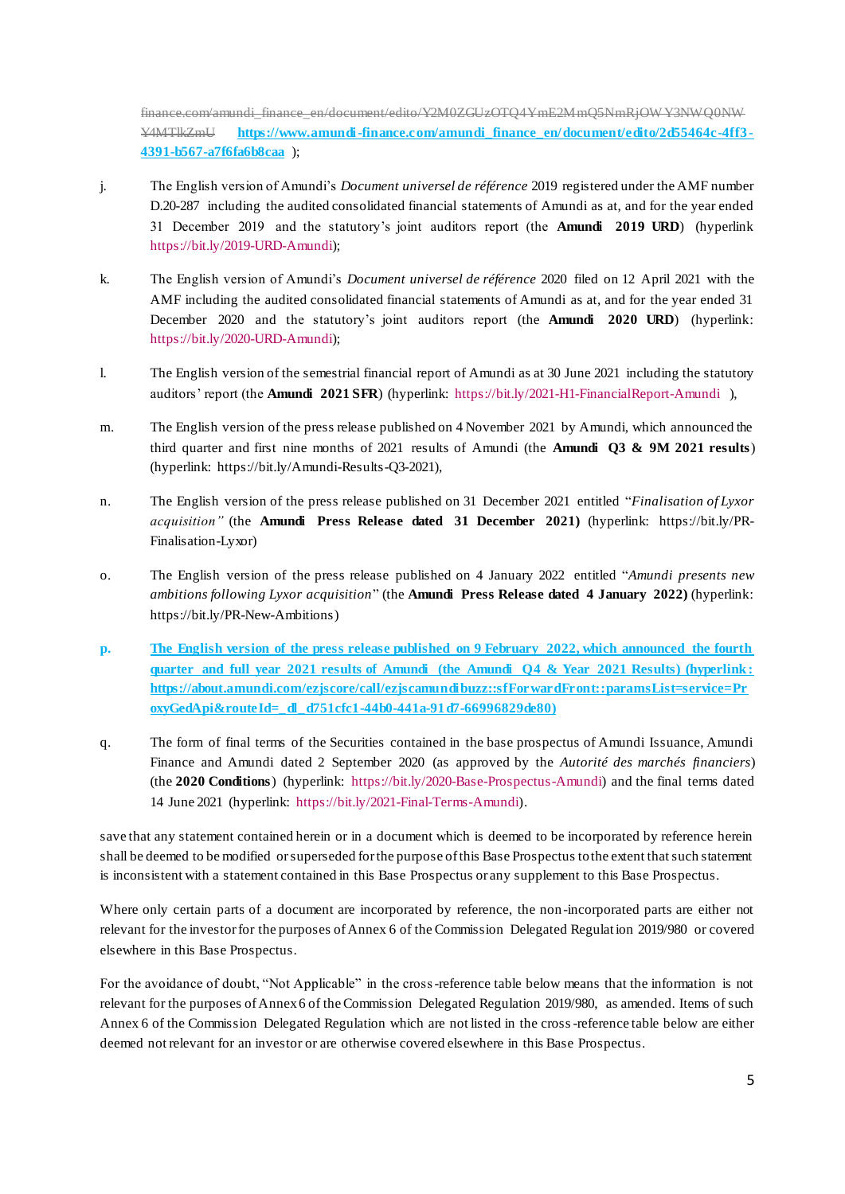[finance.com/amundi\\_finance\\_en/document/edito/Y2M0ZGUzOTQ4YmE2MmQ5NmRjOW Y3NWQ0NW](https://www.amundi-finance.com/amundi_finance_en/document/edito/Y2M0ZGUzOTQ4YmE2MmQ5NmRjOWY3NWQ0NWY4MTlkZmU) [Y4MTlkZmU](https://www.amundi-finance.com/amundi_finance_en/document/edito/Y2M0ZGUzOTQ4YmE2MmQ5NmRjOWY3NWQ0NWY4MTlkZmU) **https://www.amundi-finance.com/amundi\_finance\_en/document/edito/2d55464c-4ff3- 4391-b567-a7f6fa6b8caa** );

- j. The English version of Amundi's *Document universel de référence* 2019 registered under the AMF number D.20-287 including the audited consolidated financial statements of Amundi as at, and for the year ended 31 December 2019 and the statutory's joint auditors report (the **Amundi 2019 URD**) (hyperlink [https://bit.ly/2019-URD-Amundi\);](https://bit.ly/2019-URD-Amundi)
- k. The English version of Amundi's *Document universel de référence* 2020 filed on 12 April 2021 with the AMF including the audited consolidated financial statements of Amundi as at, and for the year ended 31 December 2020 and the statutory's joint auditors report (the **Amundi 2020 URD**) (hyperlink: [https://bit.ly/2020-URD-Amundi\);](https://bit.ly/2020-URD-Amundi)
- l. The English version of the semestrial financial report of Amundi as at 30 June 2021 including the statutory auditors' report (the **Amundi 2021 SFR**) (hyperlink:<https://bit.ly/2021-H1-FinancialReport-Amundi> ),
- m. The English version of the press release published on 4 November 2021 by Amundi, which announced the third quarter and first nine months of 2021 results of Amundi (the **Amundi Q3 & 9M 2021 results**) (hyperlink: [https://bit.ly/Amundi-Results-Q3-2021\),](https://bit.ly/Amundi-Results-Q3-2021)
- n. The English version of the press release published on 31 December 2021 entitled "*Finalisation of Lyxor acquisition"* (the **Amundi Press Release dated 31 December 2021)** (hyperlink: [https://bit.ly/PR-](https://bit.ly/PR-Finalisation-Lyxor)[Finalisation-Lyxor\)](https://bit.ly/PR-Finalisation-Lyxor)
- o. The English version of the press release published on 4 January 2022 entitled "*Amundi presents new ambitions following Lyxor acquisition*" (the **Amundi Press Release dated 4 January 2022)** (hyperlink: [https://bit.ly/PR-New-Ambitions\)](https://bit.ly/PR-New-Ambitions)
- **p. The English version of the press release published on 9 February 2022, which announced the fourth quarter and full year 2021 results of Amundi (the Amundi Q4 & Year 2021 Results) (hyperlink : https://about.amundi.com/ezjscore/call/ezjscamundibuzz::sfForwardFront::paramsList=service=Pr oxyGedApi&routeId=\_dl\_d751cfc1-44b0-441a-91d7-66996829de80)**
- q. The form of final terms of the Securities contained in the base prospectus of Amundi Issuance, Amundi Finance and Amundi dated 2 September 2020 (as approved by the *Autorité des marchés financiers*) (the **2020 Conditions**) (hyperlink: [https://bit.ly/2020-Base-Prospectus-Amundi\)](https://bit.ly/2020-Base-Prospectus-Amundi) and the final terms dated 14 June 2021 (hyperlink: [https://bit.ly/2021-Final-Terms-Amundi\).](https://bit.ly/2021-Final-Terms-Amundi)

save that any statement contained herein or in a document which is deemed to be incorporated by reference herein shall be deemed to be modified or superseded for the purpose of this Base Prospectus to the extent that such statement is inconsistent with a statement contained in this Base Prospectus or any supplement to this Base Prospectus.

Where only certain parts of a document are incorporated by reference, the non -incorporated parts are either not relevant for the investor for the purposes of Annex 6 of the Commission Delegated Regulation 2019/980 or covered elsewhere in this Base Prospectus.

For the avoidance of doubt, "Not Applicable" in the cross-reference table below means that the information is not relevant for the purposes of Annex 6 of the Commission Delegated Regulation 2019/980, as amended. Items of such Annex 6 of the Commission Delegated Regulation which are not listed in the cross-reference table below are either deemed not relevant for an investor or are otherwise covered elsewhere in this Base Prospectus.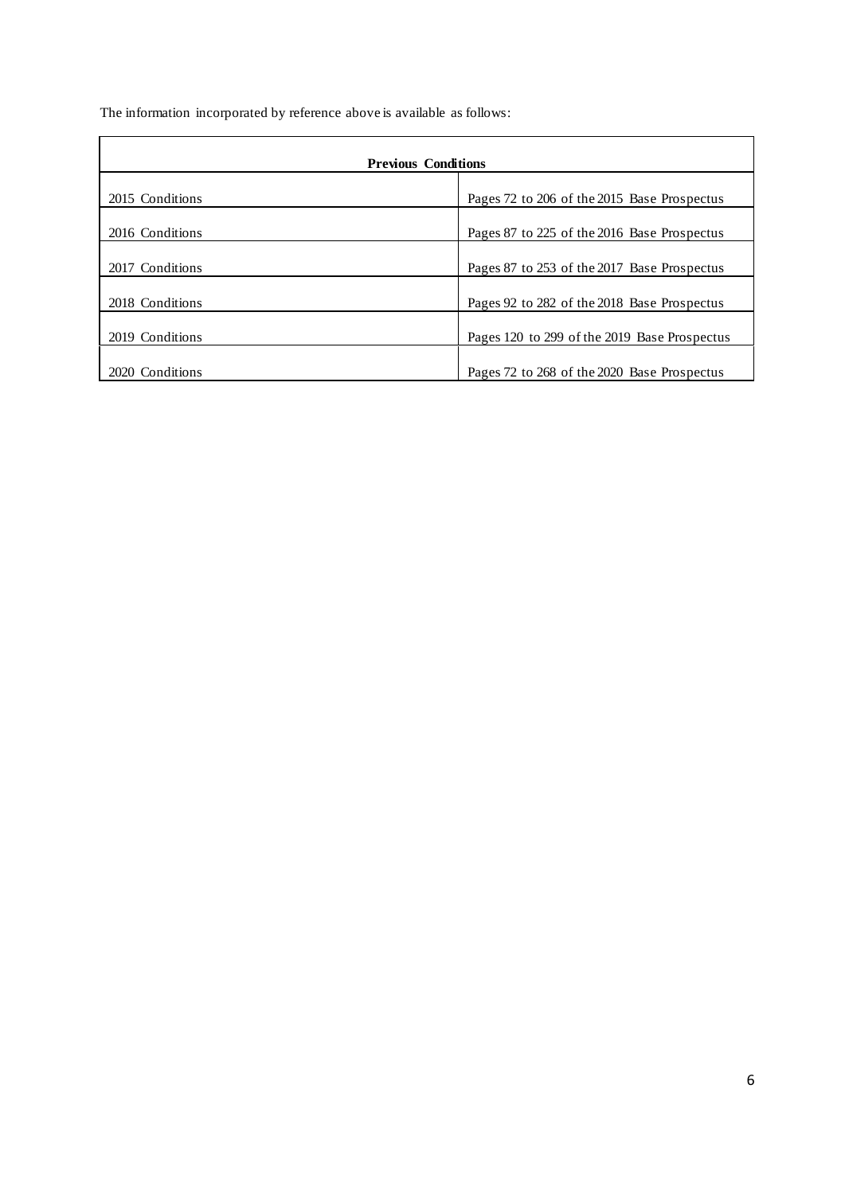The information incorporated by reference above is available as follows:

| <b>Previous Conditions</b> |                                              |  |  |
|----------------------------|----------------------------------------------|--|--|
| 2015 Conditions            | Pages 72 to 206 of the 2015 Base Prospectus  |  |  |
| 2016 Conditions            | Pages 87 to 225 of the 2016 Base Prospectus  |  |  |
| 2017 Conditions            | Pages 87 to 253 of the 2017 Base Prospectus  |  |  |
| 2018 Conditions            | Pages 92 to 282 of the 2018 Base Prospectus  |  |  |
| 2019 Conditions            | Pages 120 to 299 of the 2019 Base Prospectus |  |  |
| 2020 Conditions            | Pages 72 to 268 of the 2020 Base Prospectus  |  |  |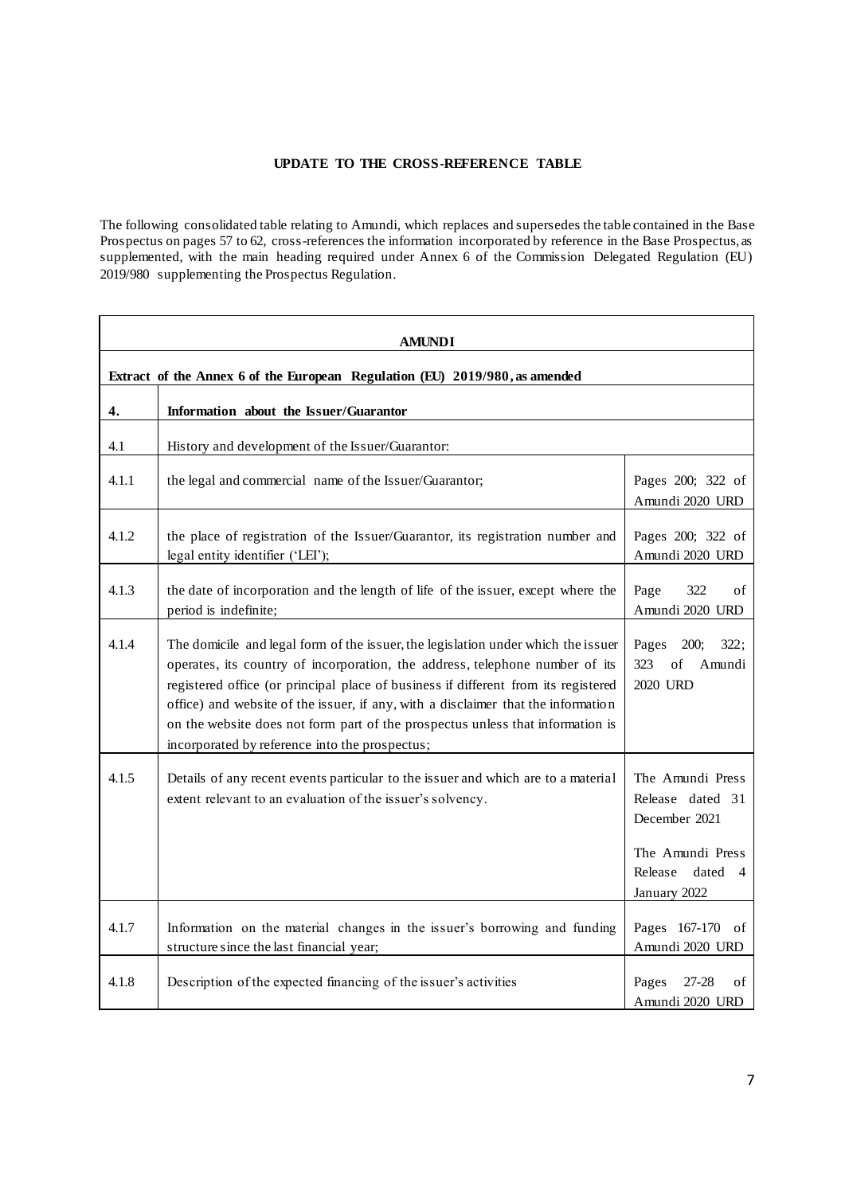# **UPDATE TO THE CROSS-REFERENCE TABLE**

<span id="page-6-0"></span>The following consolidated table relating to Amundi, which replaces and supersedes the table contained in the Base Prospectus on pages 57 to 62, cross-references the information incorporated by reference in the Base Prospectus, as supplemented, with the main heading required under Annex 6 of the Commission Delegated Regulation (EU) 2019/980 supplementing the Prospectus Regulation.

| AMUNDI                                                                      |                                                                                                                                                                                                                                                                                                                                                                                                                                                                                  |                                                                                                                 |  |
|-----------------------------------------------------------------------------|----------------------------------------------------------------------------------------------------------------------------------------------------------------------------------------------------------------------------------------------------------------------------------------------------------------------------------------------------------------------------------------------------------------------------------------------------------------------------------|-----------------------------------------------------------------------------------------------------------------|--|
| Extract of the Annex 6 of the European Regulation (EU) 2019/980, as amended |                                                                                                                                                                                                                                                                                                                                                                                                                                                                                  |                                                                                                                 |  |
| 4.                                                                          | Information about the Issuer/Guarantor                                                                                                                                                                                                                                                                                                                                                                                                                                           |                                                                                                                 |  |
| 4.1                                                                         | History and development of the Issuer/Guarantor:                                                                                                                                                                                                                                                                                                                                                                                                                                 |                                                                                                                 |  |
| 4.1.1                                                                       | the legal and commercial name of the Issuer/Guarantor;                                                                                                                                                                                                                                                                                                                                                                                                                           | Pages 200; 322 of<br>Amundi 2020 URD                                                                            |  |
| 4.1.2                                                                       | the place of registration of the Issuer/Guarantor, its registration number and<br>legal entity identifier ('LEI');                                                                                                                                                                                                                                                                                                                                                               | Pages 200; 322 of<br>Amundi 2020 URD                                                                            |  |
| 4.1.3                                                                       | the date of incorporation and the length of life of the issuer, except where the<br>period is indefinite;                                                                                                                                                                                                                                                                                                                                                                        | Page<br>322<br>of<br>Amundi 2020 URD                                                                            |  |
| 4.1.4                                                                       | The domicile and legal form of the issuer, the legislation under which the issuer<br>operates, its country of incorporation, the address, telephone number of its<br>registered office (or principal place of business if different from its registered<br>office) and website of the issuer, if any, with a disclaimer that the information<br>on the website does not form part of the prospectus unless that information is<br>incorporated by reference into the prospectus; | 200;<br>322:<br>Pages<br>323<br>of<br>Amundi<br>2020 URD                                                        |  |
| 4.1.5                                                                       | Details of any recent events particular to the issuer and which are to a material<br>extent relevant to an evaluation of the issuer's solvency.                                                                                                                                                                                                                                                                                                                                  | The Amundi Press<br>Release dated 31<br>December 2021<br>The Amundi Press<br>Release<br>dated 4<br>January 2022 |  |
| 4.1.7                                                                       | Information on the material changes in the issuer's borrowing and funding<br>structure since the last financial year;                                                                                                                                                                                                                                                                                                                                                            | Pages 167-170 of<br>Amundi 2020 URD                                                                             |  |
| 4.1.8                                                                       | Description of the expected financing of the issuer's activities                                                                                                                                                                                                                                                                                                                                                                                                                 | Pages<br>27-28<br>of<br>Amundi 2020 URD                                                                         |  |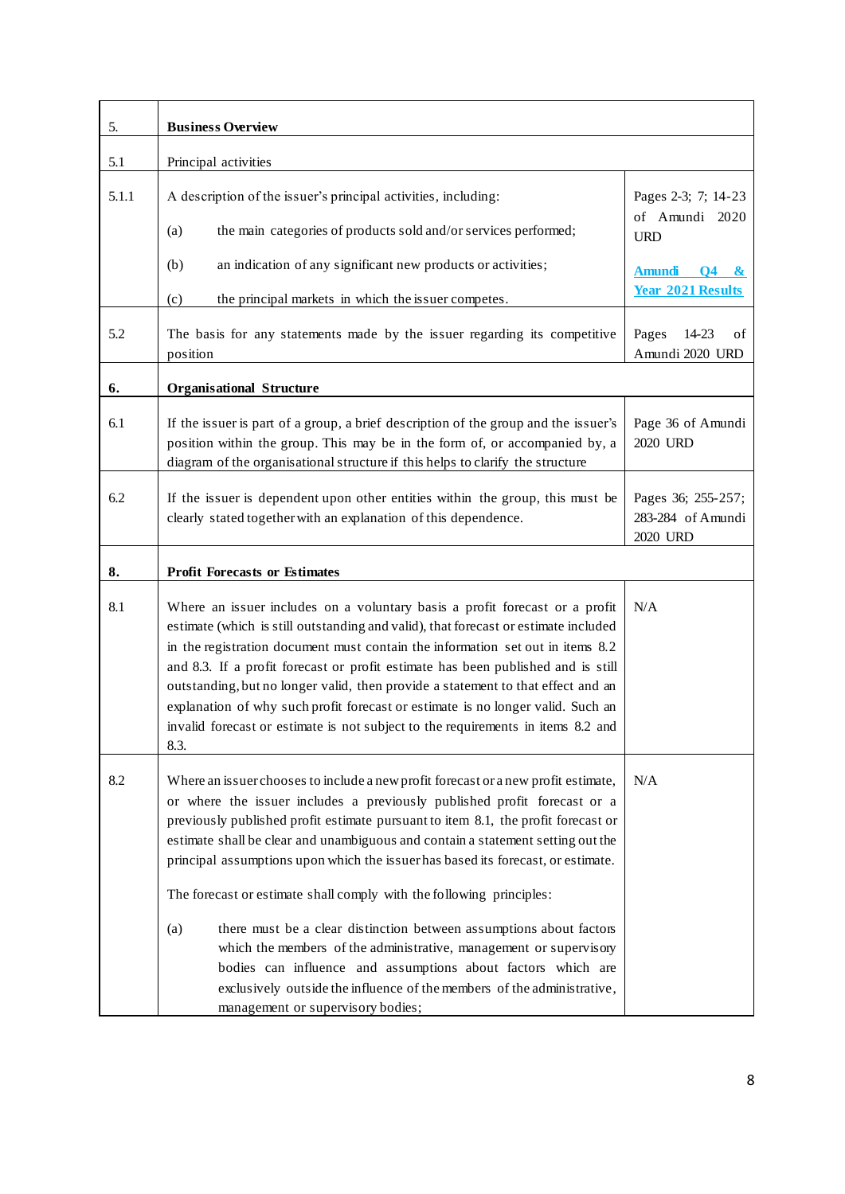| 5.    | <b>Business Overview</b>                                                                                                                                                                                                                                                                                                                                                                                                                                                                                                                                                                                                                                                                                                                                                                                                               |                                                     |  |  |
|-------|----------------------------------------------------------------------------------------------------------------------------------------------------------------------------------------------------------------------------------------------------------------------------------------------------------------------------------------------------------------------------------------------------------------------------------------------------------------------------------------------------------------------------------------------------------------------------------------------------------------------------------------------------------------------------------------------------------------------------------------------------------------------------------------------------------------------------------------|-----------------------------------------------------|--|--|
| 5.1   | Principal activities                                                                                                                                                                                                                                                                                                                                                                                                                                                                                                                                                                                                                                                                                                                                                                                                                   |                                                     |  |  |
| 5.1.1 | A description of the issuer's principal activities, including:                                                                                                                                                                                                                                                                                                                                                                                                                                                                                                                                                                                                                                                                                                                                                                         | Pages 2-3; 7; 14-23                                 |  |  |
|       | the main categories of products sold and/or services performed;<br>(a)                                                                                                                                                                                                                                                                                                                                                                                                                                                                                                                                                                                                                                                                                                                                                                 | of Amundi 2020<br><b>URD</b>                        |  |  |
|       | an indication of any significant new products or activities;<br>(b)                                                                                                                                                                                                                                                                                                                                                                                                                                                                                                                                                                                                                                                                                                                                                                    | Amundi Q4 &                                         |  |  |
|       | the principal markets in which the issuer competes.<br>(c)                                                                                                                                                                                                                                                                                                                                                                                                                                                                                                                                                                                                                                                                                                                                                                             | <b>Year 2021 Results</b>                            |  |  |
| 5.2   | The basis for any statements made by the issuer regarding its competitive<br>position                                                                                                                                                                                                                                                                                                                                                                                                                                                                                                                                                                                                                                                                                                                                                  | Pages<br>14-23<br>οf<br>Amundi 2020 URD             |  |  |
| 6.    | <b>Organisational Structure</b>                                                                                                                                                                                                                                                                                                                                                                                                                                                                                                                                                                                                                                                                                                                                                                                                        |                                                     |  |  |
| 6.1   | If the issuer is part of a group, a brief description of the group and the issuer's<br>position within the group. This may be in the form of, or accompanied by, a<br>diagram of the organisational structure if this helps to clarify the structure                                                                                                                                                                                                                                                                                                                                                                                                                                                                                                                                                                                   | Page 36 of Amundi<br>2020 URD                       |  |  |
| 6.2   | If the issuer is dependent upon other entities within the group, this must be<br>clearly stated together with an explanation of this dependence.                                                                                                                                                                                                                                                                                                                                                                                                                                                                                                                                                                                                                                                                                       | Pages 36; 255-257;<br>283-284 of Amundi<br>2020 URD |  |  |
| 8.    | <b>Profit Forecasts or Estimates</b>                                                                                                                                                                                                                                                                                                                                                                                                                                                                                                                                                                                                                                                                                                                                                                                                   |                                                     |  |  |
| 8.1   | Where an issuer includes on a voluntary basis a profit forecast or a profit<br>estimate (which is still outstanding and valid), that forecast or estimate included<br>in the registration document must contain the information set out in items 8.2<br>and 8.3. If a profit forecast or profit estimate has been published and is still<br>outstanding, but no longer valid, then provide a statement to that effect and an<br>explanation of why such profit forecast or estimate is no longer valid. Such an<br>invalid forecast or estimate is not subject to the requirements in items 8.2 and<br>8.3.                                                                                                                                                                                                                            | N/A                                                 |  |  |
| 8.2   | Where an issuer chooses to include a new profit forecast or a new profit estimate,<br>or where the issuer includes a previously published profit forecast or a<br>previously published profit estimate pursuant to item 8.1, the profit forecast or<br>estimate shall be clear and unambiguous and contain a statement setting out the<br>principal assumptions upon which the issuer has based its forecast, or estimate.<br>The forecast or estimate shall comply with the following principles:<br>there must be a clear distinction between assumptions about factors<br>(a)<br>which the members of the administrative, management or supervisory<br>bodies can influence and assumptions about factors which are<br>exclusively outside the influence of the members of the administrative,<br>management or supervisory bodies; | N/A                                                 |  |  |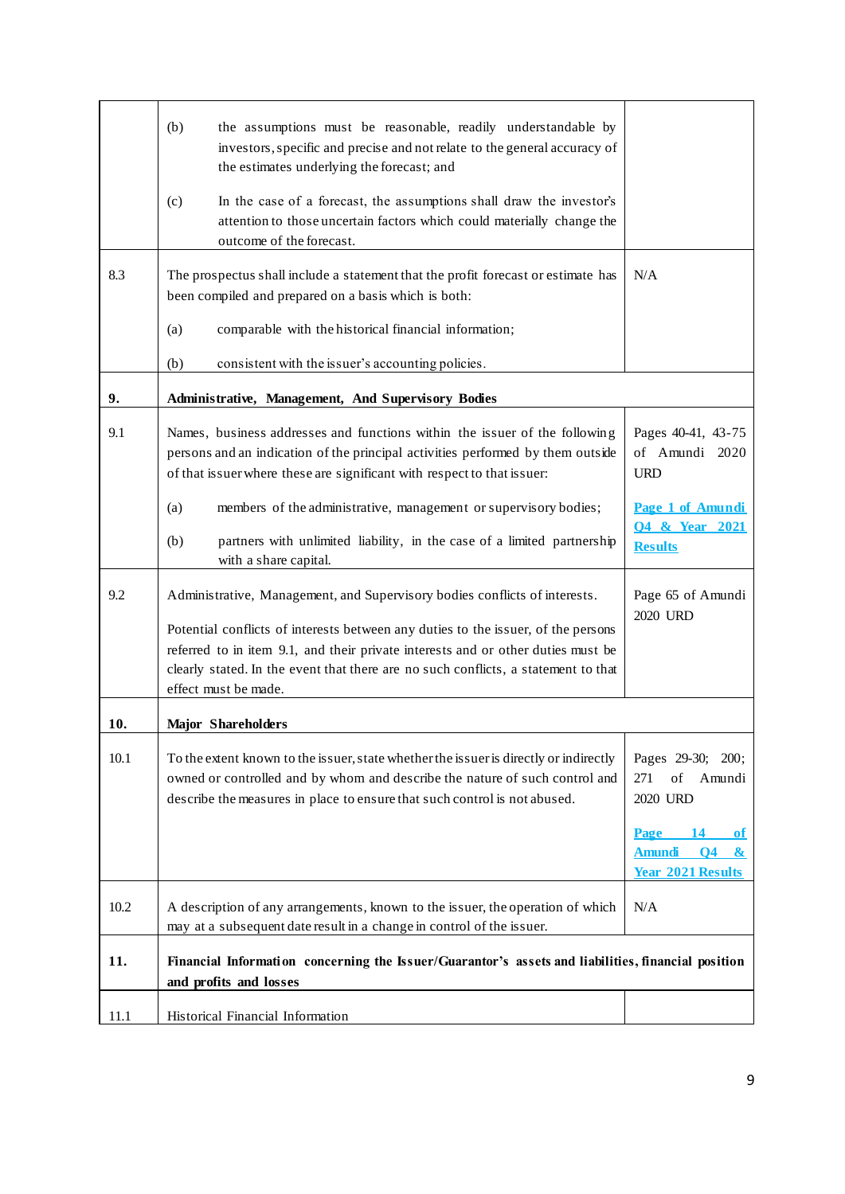|      | (b)<br>the assumptions must be reasonable, readily understandable by<br>investors, specific and precise and not relate to the general accuracy of<br>the estimates underlying the forecast; and<br>In the case of a forecast, the assumptions shall draw the investor's<br>(c)      |                                                                                 |  |
|------|-------------------------------------------------------------------------------------------------------------------------------------------------------------------------------------------------------------------------------------------------------------------------------------|---------------------------------------------------------------------------------|--|
|      | attention to those uncertain factors which could materially change the<br>outcome of the forecast.                                                                                                                                                                                  |                                                                                 |  |
| 8.3  | The prospectus shall include a statement that the profit forecast or estimate has<br>been compiled and prepared on a basis which is both:                                                                                                                                           | N/A                                                                             |  |
|      | comparable with the historical financial information;<br>(a)                                                                                                                                                                                                                        |                                                                                 |  |
|      | (b)<br>consistent with the issuer's accounting policies.                                                                                                                                                                                                                            |                                                                                 |  |
| 9.   | Administrative, Management, And Supervisory Bodies                                                                                                                                                                                                                                  |                                                                                 |  |
| 9.1  | Names, business addresses and functions within the issuer of the following<br>persons and an indication of the principal activities performed by them outside<br>of that issuer where these are significant with respect to that issuer:                                            | Pages 40-41, 43-75<br>of Amundi 2020<br><b>URD</b>                              |  |
|      | members of the administrative, management or supervisory bodies;<br>(a)                                                                                                                                                                                                             | Page 1 of Amundi                                                                |  |
|      | (b)<br>partners with unlimited liability, in the case of a limited partnership<br>with a share capital.                                                                                                                                                                             | <b>Q4 &amp; Year 2021</b><br><b>Results</b>                                     |  |
| 9.2  | Administrative, Management, and Supervisory bodies conflicts of interests.                                                                                                                                                                                                          | Page 65 of Amundi<br>2020 URD                                                   |  |
|      | Potential conflicts of interests between any duties to the issuer, of the persons<br>referred to in item 9.1, and their private interests and or other duties must be<br>clearly stated. In the event that there are no such conflicts, a statement to that<br>effect must be made. |                                                                                 |  |
| 10.  | <b>Major Shareholders</b>                                                                                                                                                                                                                                                           |                                                                                 |  |
| 10.1 | To the extent known to the issuer, state whether the issuer is directly or indirectly<br>owned or controlled and by whom and describe the nature of such control and<br>describe the measures in place to ensure that such control is not abused.                                   | Pages 29-30; 200;<br>of<br>271<br>Amundi<br>2020 URD                            |  |
|      |                                                                                                                                                                                                                                                                                     | Page 14<br>0f<br>Amundi 04<br>$\boldsymbol{\alpha}$<br><b>Year 2021 Results</b> |  |
| 10.2 | A description of any arrangements, known to the issuer, the operation of which<br>may at a subsequent date result in a change in control of the issuer.                                                                                                                             | N/A                                                                             |  |
| 11.  | Financial Information concerning the Issuer/Guarantor's assets and liabilities, financial position<br>and profits and losses                                                                                                                                                        |                                                                                 |  |
| 11.1 | Historical Financial Information                                                                                                                                                                                                                                                    |                                                                                 |  |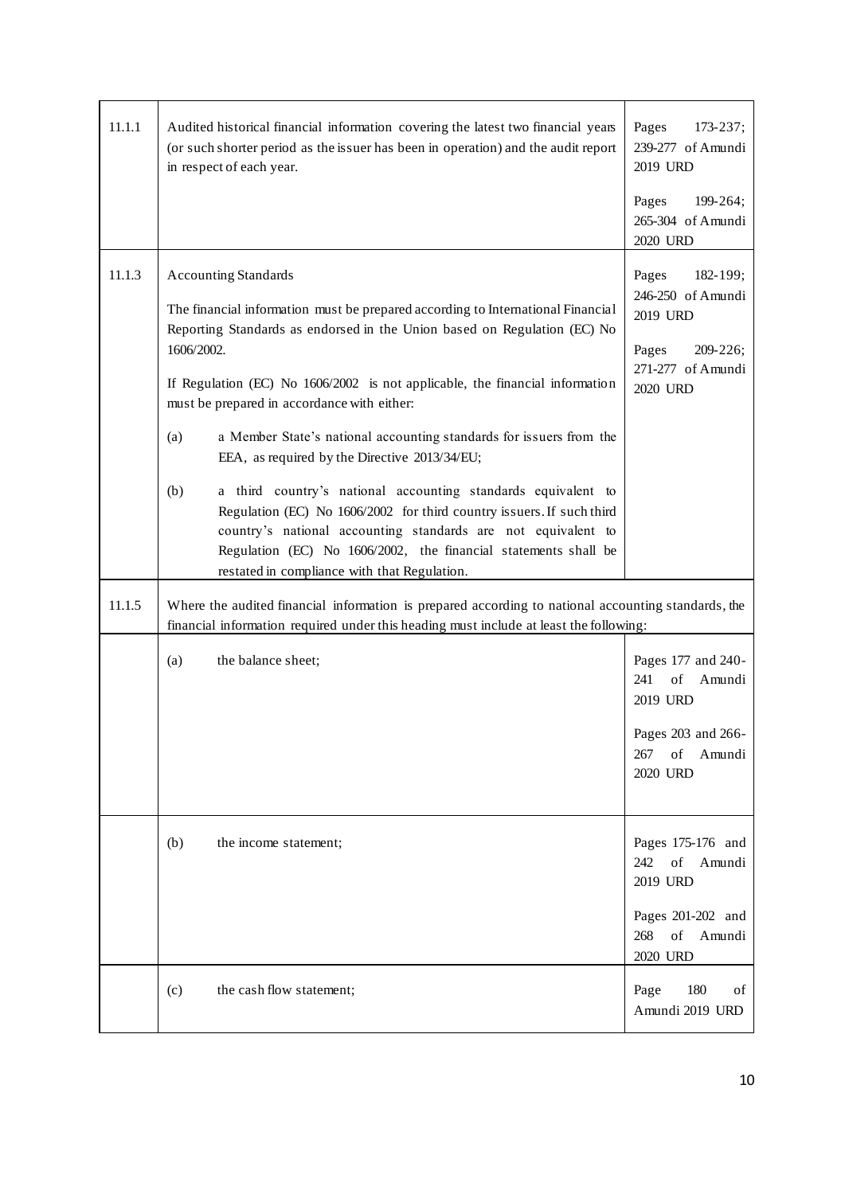| 11.1.1 | Audited historical financial information covering the latest two financial years<br>(or such shorter period as the issuer has been in operation) and the audit report<br>in respect of each year.                                                                                                                                                                                                                                                                                                                                                                                                                                                                                                                                                                                                           | Pages<br>$173 - 237;$<br>239-277 of Amundi<br>2019 URD<br>199-264;<br>Pages<br>265-304 of Amundi<br>2020 URD |  |  |  |
|--------|-------------------------------------------------------------------------------------------------------------------------------------------------------------------------------------------------------------------------------------------------------------------------------------------------------------------------------------------------------------------------------------------------------------------------------------------------------------------------------------------------------------------------------------------------------------------------------------------------------------------------------------------------------------------------------------------------------------------------------------------------------------------------------------------------------------|--------------------------------------------------------------------------------------------------------------|--|--|--|
| 11.1.3 | <b>Accounting Standards</b><br>The financial information must be prepared according to International Financial<br>Reporting Standards as endorsed in the Union based on Regulation (EC) No<br>1606/2002.<br>If Regulation (EC) No 1606/2002 is not applicable, the financial information<br>must be prepared in accordance with either:<br>a Member State's national accounting standards for issuers from the<br>(a)<br>EEA, as required by the Directive 2013/34/EU;<br>a third country's national accounting standards equivalent to<br>(b)<br>Regulation (EC) No 1606/2002 for third country issuers. If such third<br>country's national accounting standards are not equivalent to<br>Regulation (EC) No 1606/2002, the financial statements shall be<br>restated in compliance with that Regulation. | 182-199;<br>Pages<br>246-250 of Amundi<br>2019 URD<br>Pages<br>$209 - 226;$<br>271-277 of Amundi<br>2020 URD |  |  |  |
| 11.1.5 | Where the audited financial information is prepared according to national accounting standards, the<br>financial information required under this heading must include at least the following:                                                                                                                                                                                                                                                                                                                                                                                                                                                                                                                                                                                                               |                                                                                                              |  |  |  |
|        | (a)<br>the balance sheet;                                                                                                                                                                                                                                                                                                                                                                                                                                                                                                                                                                                                                                                                                                                                                                                   | Pages 177 and 240-<br>of<br>241<br>Amundi<br>2019 URD<br>Pages 203 and 266-<br>267 of Amundi<br>2020 URD     |  |  |  |
|        | (b)<br>the income statement;                                                                                                                                                                                                                                                                                                                                                                                                                                                                                                                                                                                                                                                                                                                                                                                | Pages 175-176 and<br>of Amundi<br>242<br>2019 URD<br>Pages 201-202 and<br>of Amundi<br>268<br>2020 URD       |  |  |  |
|        | (c)<br>the cash flow statement;                                                                                                                                                                                                                                                                                                                                                                                                                                                                                                                                                                                                                                                                                                                                                                             | 180<br>Page<br>οf<br>Amundi 2019 URD                                                                         |  |  |  |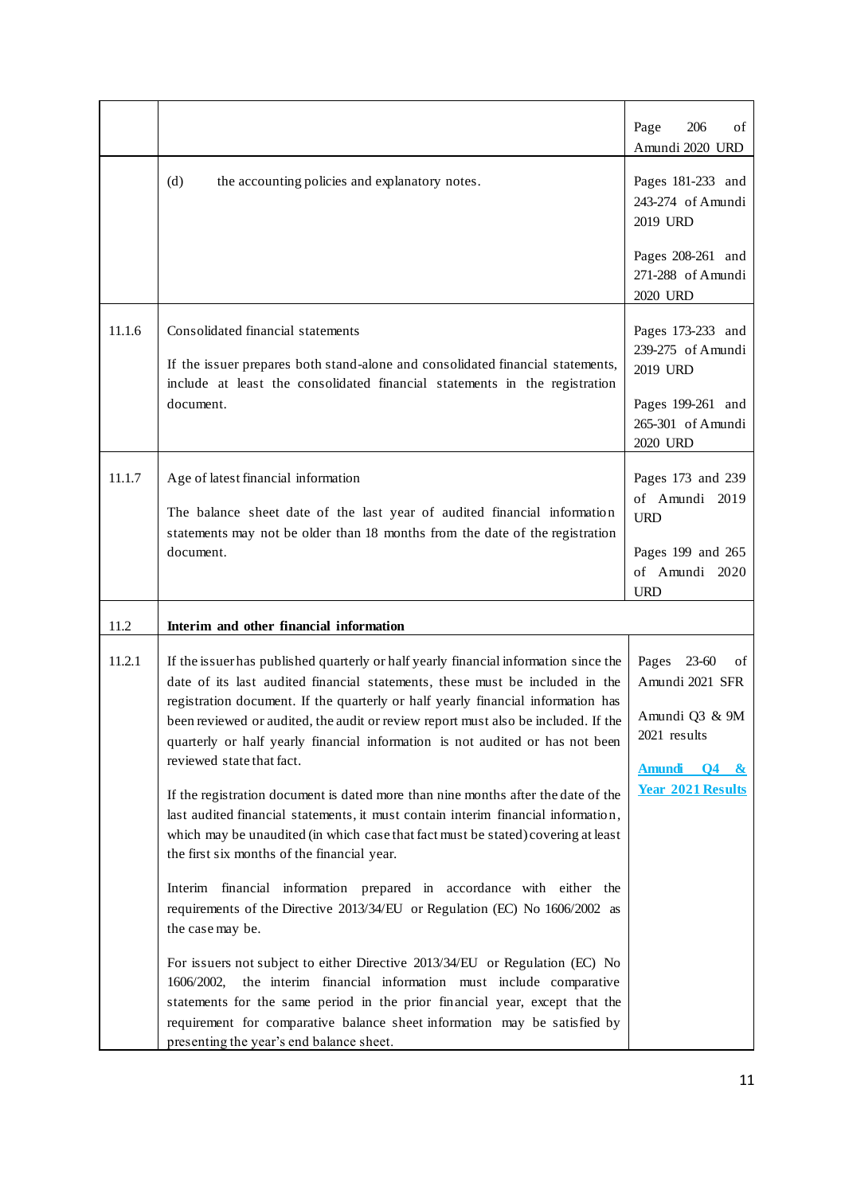|        |                                                                                                                                                                                                                                                                                                                                                                                                                                                                                                                                                                                                                                                                                                                                                                            | 206<br>Page<br>οf<br>Amundi 2020 URD                                                                              |
|--------|----------------------------------------------------------------------------------------------------------------------------------------------------------------------------------------------------------------------------------------------------------------------------------------------------------------------------------------------------------------------------------------------------------------------------------------------------------------------------------------------------------------------------------------------------------------------------------------------------------------------------------------------------------------------------------------------------------------------------------------------------------------------------|-------------------------------------------------------------------------------------------------------------------|
|        | (d)<br>the accounting policies and explanatory notes.                                                                                                                                                                                                                                                                                                                                                                                                                                                                                                                                                                                                                                                                                                                      | Pages 181-233 and<br>243-274 of Amundi<br>2019 URD                                                                |
|        |                                                                                                                                                                                                                                                                                                                                                                                                                                                                                                                                                                                                                                                                                                                                                                            | Pages 208-261 and<br>271-288 of Amundi<br>2020 URD                                                                |
| 11.1.6 | Consolidated financial statements<br>If the issuer prepares both stand-alone and consolidated financial statements,<br>include at least the consolidated financial statements in the registration<br>document.                                                                                                                                                                                                                                                                                                                                                                                                                                                                                                                                                             | Pages 173-233 and<br>239-275 of Amundi<br>2019 URD<br>Pages 199-261 and<br>265-301 of Amundi<br>2020 URD          |
| 11.1.7 | Age of latest financial information<br>The balance sheet date of the last year of audited financial information<br>statements may not be older than 18 months from the date of the registration<br>document.                                                                                                                                                                                                                                                                                                                                                                                                                                                                                                                                                               | Pages 173 and 239<br>of Amundi 2019<br><b>URD</b><br>Pages 199 and 265<br>of Amundi 2020<br><b>URD</b>            |
| 11.2   | Interim and other financial information                                                                                                                                                                                                                                                                                                                                                                                                                                                                                                                                                                                                                                                                                                                                    |                                                                                                                   |
| 11.2.1 | If the issuer has published quarterly or half yearly financial information since the<br>date of its last audited financial statements, these must be included in the<br>registration document. If the quarterly or half yearly financial information has<br>been reviewed or audited, the audit or review report must also be included. If the<br>quarterly or half yearly financial information is not audited or has not been<br>reviewed state that fact.<br>If the registration document is dated more than nine months after the date of the<br>last audited financial statements, it must contain interim financial information,<br>which may be unaudited (in which case that fact must be stated) covering at least<br>the first six months of the financial year. | Pages 23-60<br>оf<br>Amundi 2021 SFR<br>Amundi Q3 & 9M<br>2021 results<br>Amundi 04 &<br><b>Year 2021 Results</b> |
|        | Interim financial information prepared in accordance with either the<br>requirements of the Directive 2013/34/EU or Regulation (EC) No 1606/2002 as<br>the case may be.<br>For issuers not subject to either Directive 2013/34/EU or Regulation (EC) No                                                                                                                                                                                                                                                                                                                                                                                                                                                                                                                    |                                                                                                                   |
|        | the interim financial information must include comparative<br>1606/2002,<br>statements for the same period in the prior financial year, except that the<br>requirement for comparative balance sheet information may be satisfied by<br>presenting the year's end balance sheet.                                                                                                                                                                                                                                                                                                                                                                                                                                                                                           |                                                                                                                   |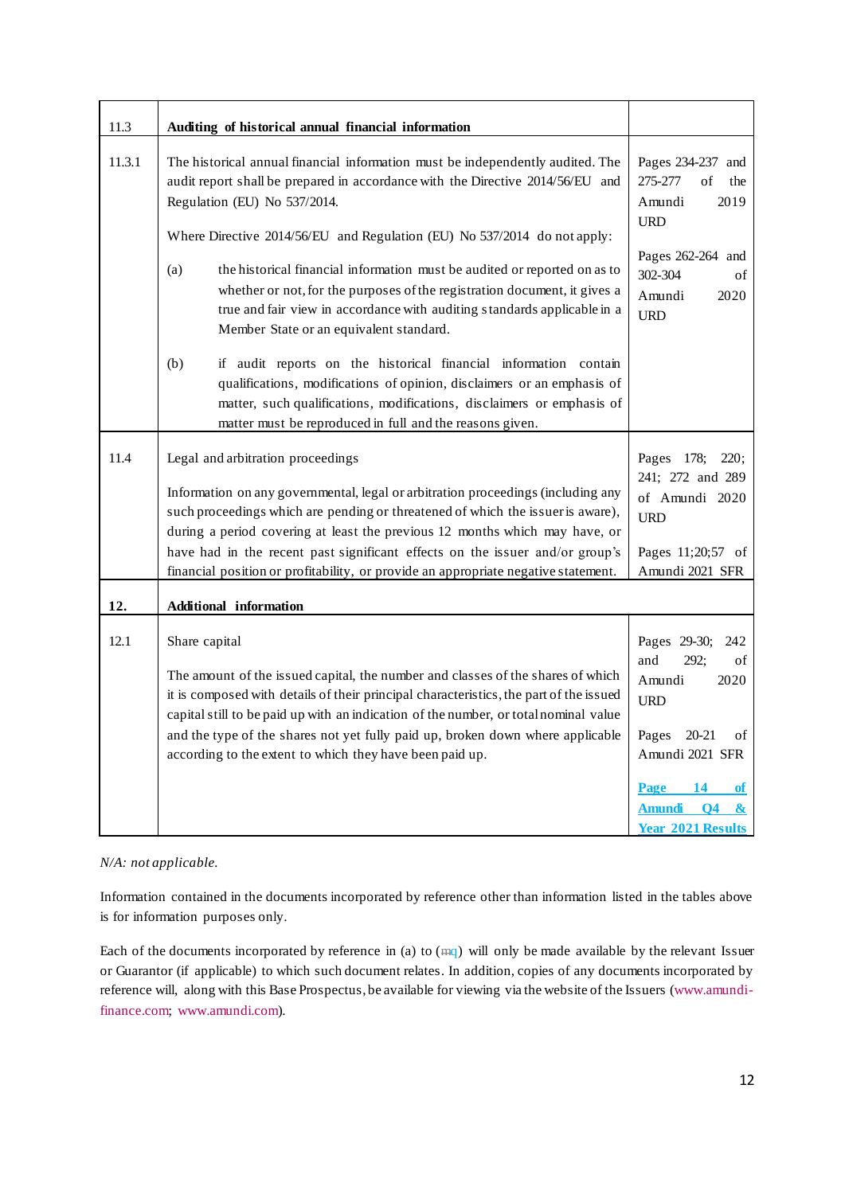| 11.3   | Auditing of historical annual financial information                                                                                                                                                                                                                                                                                                                                                                                                                                                                                                                  |                                                                                                                                                                                                                               |
|--------|----------------------------------------------------------------------------------------------------------------------------------------------------------------------------------------------------------------------------------------------------------------------------------------------------------------------------------------------------------------------------------------------------------------------------------------------------------------------------------------------------------------------------------------------------------------------|-------------------------------------------------------------------------------------------------------------------------------------------------------------------------------------------------------------------------------|
| 11.3.1 | The historical annual financial information must be independently audited. The<br>audit report shall be prepared in accordance with the Directive 2014/56/EU and<br>Regulation (EU) No 537/2014.<br>Where Directive 2014/56/EU and Regulation (EU) No 537/2014 do not apply:<br>(a)<br>the historical financial information must be audited or reported on as to<br>whether or not, for the purposes of the registration document, it gives a<br>true and fair view in accordance with auditing standards applicable in a<br>Member State or an equivalent standard. | Pages 234-237 and<br>275-277<br>of<br>the<br>Amundi<br>2019<br><b>URD</b><br>Pages 262-264 and<br>302-304<br>of<br>Amundi<br>2020<br><b>URD</b>                                                                               |
|        | (b)<br>if audit reports on the historical financial information contain<br>qualifications, modifications of opinion, disclaimers or an emphasis of<br>matter, such qualifications, modifications, disclaimers or emphasis of<br>matter must be reproduced in full and the reasons given.                                                                                                                                                                                                                                                                             |                                                                                                                                                                                                                               |
| 11.4   | Legal and arbitration proceedings<br>Information on any governmental, legal or arbitration proceedings (including any<br>such proceedings which are pending or threatened of which the issuer is aware),<br>during a period covering at least the previous 12 months which may have, or<br>have had in the recent past significant effects on the issuer and/or group's<br>financial position or profitability, or provide an appropriate negative statement.                                                                                                        | Pages 178;<br>220;<br>241; 272 and 289<br>of Amundi 2020<br><b>URD</b><br>Pages 11;20;57 of<br>Amundi 2021 SFR                                                                                                                |
| 12.    | <b>Additional information</b>                                                                                                                                                                                                                                                                                                                                                                                                                                                                                                                                        |                                                                                                                                                                                                                               |
| 12.1   | Share capital<br>The amount of the issued capital, the number and classes of the shares of which<br>it is composed with details of their principal characteristics, the part of the issued<br>capital still to be paid up with an indication of the number, or total nominal value<br>and the type of the shares not yet fully paid up, broken down where applicable<br>according to the extent to which they have been paid up.                                                                                                                                     | Pages 29-30;<br>242<br>and<br>292;<br>of<br>2020<br>Amundi<br><b>URD</b><br>$20 - 21$<br>Pages<br>οf<br>Amundi 2021 SFR<br>Page 14<br>of<br><b>Amundi</b><br>$\overline{O4}$<br>$\mathbf{\alpha}$<br><b>Year 2021 Results</b> |

# *N/A: not applicable.*

Information contained in the documents incorporated by reference other than information listed in the tables above is for information purposes only.

Each of the documents incorporated by reference in (a) to (mq) will only be made available by the relevant Issuer or Guarantor (if applicable) to which such document relates. In addition, copies of any documents incorporated by reference will, along with this Base Prospectus, be available for viewing via the website of the Issuers [\(www.amundi](http://www.amundi-finance.com/)[finance.com;](http://www.amundi-finance.com/) [www.amundi.com\).](http://www.amundi.com/)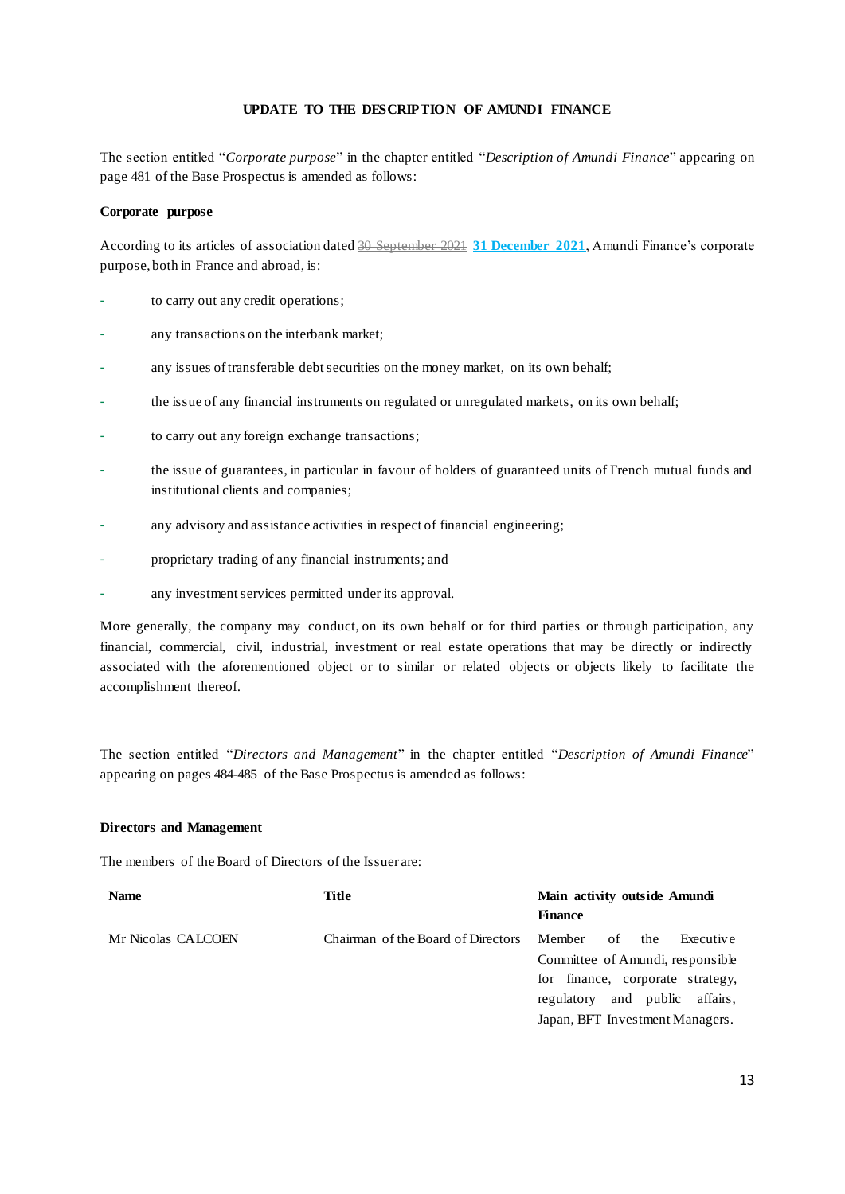#### **UPDATE TO THE DESCRIPTION OF AMUNDI FINANCE**

<span id="page-12-0"></span>The section entitled "*Corporate purpose*" in the chapter entitled "*Description of Amundi Finance*" appearing on page 481 of the Base Prospectus is amended as follows:

#### **Corporate purpose**

According to its articles of association dated 30 September 2021 **31 December 2021**, Amundi Finance's corporate purpose, both in France and abroad, is:

- to carry out any credit operations;
- any transactions on the interbank market;
- any issues of transferable debt securities on the money market, on its own behalf;
- the issue of any financial instruments on regulated or unregulated markets, on its own behalf;
- to carry out any foreign exchange transactions;
- the issue of guarantees, in particular in favour of holders of guaranteed units of French mutual funds and institutional clients and companies;
- any advisory and assistance activities in respect of financial engineering;
- proprietary trading of any financial instruments; and
- any investment services permitted under its approval.

More generally, the company may conduct, on its own behalf or for third parties or through participation, any financial, commercial, civil, industrial, investment or real estate operations that may be directly or indirectly associated with the aforementioned object or to similar or related objects or objects likely to facilitate the accomplishment thereof.

The section entitled "*Directors and Management*" in the chapter entitled "*Description of Amundi Finance*" appearing on pages 484-485 of the Base Prospectus is amended as follows:

#### **Directors and Management**

The members of the Board of Directors of the Issuer are:

| <b>Name</b>        | Title                              | Main activity outside Amundi<br><b>Finance</b> |  |
|--------------------|------------------------------------|------------------------------------------------|--|
| Mr Nicolas CALCOEN | Chairman of the Board of Directors | Member<br>the<br>Executive<br>of               |  |
|                    |                                    | Committee of Amundi, responsible               |  |
|                    |                                    | for finance, corporate strategy,               |  |
|                    |                                    | affairs,<br>and public<br>regulatory           |  |
|                    |                                    | Japan, BFT Investment Managers.                |  |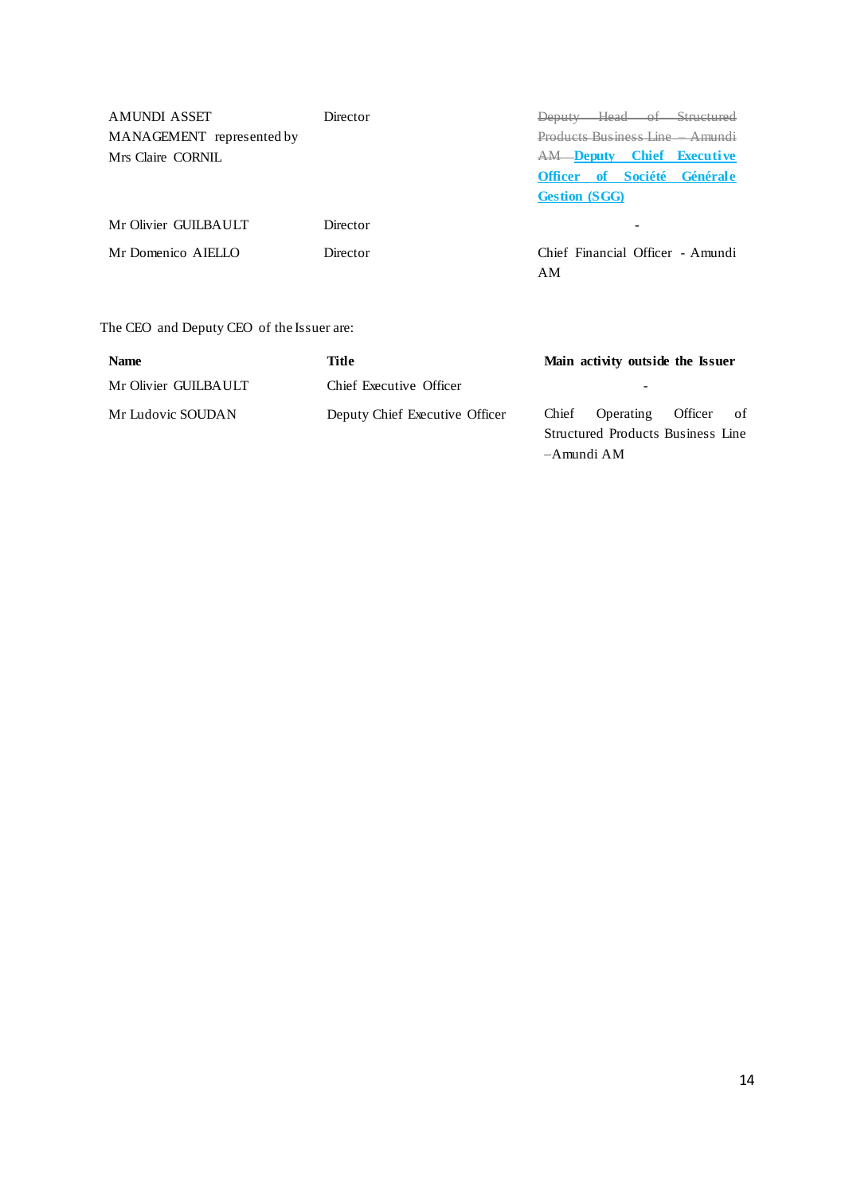AMUNDI ASSET MANAGEMENT represented by Mrs Claire CORNIL

Mr Olivier GUILBAULT Director **Director** -

Director Deputy Head of Structured Products Business Line – Amundi AM **Deputy Chief Executive Officer of Société Générale Gestion (SGG)**

Mr Domenico AIELLO Director Chief Financial Officer - Amundi AM

–Amundi AM

# The CEO and Deputy CEO of the Issuer are:

| <b>Name</b>          | Title                          | Main activity outside the Issuer  |                            |  |  |
|----------------------|--------------------------------|-----------------------------------|----------------------------|--|--|
| Mr Olivier GUILBAULT | Chief Executive Officer        |                                   | $\overline{\phantom{0}}$   |  |  |
| Mr Ludovic SOUDAN    | Deputy Chief Executive Officer |                                   | Chief Operating Officer of |  |  |
|                      |                                | Structured Products Business Line |                            |  |  |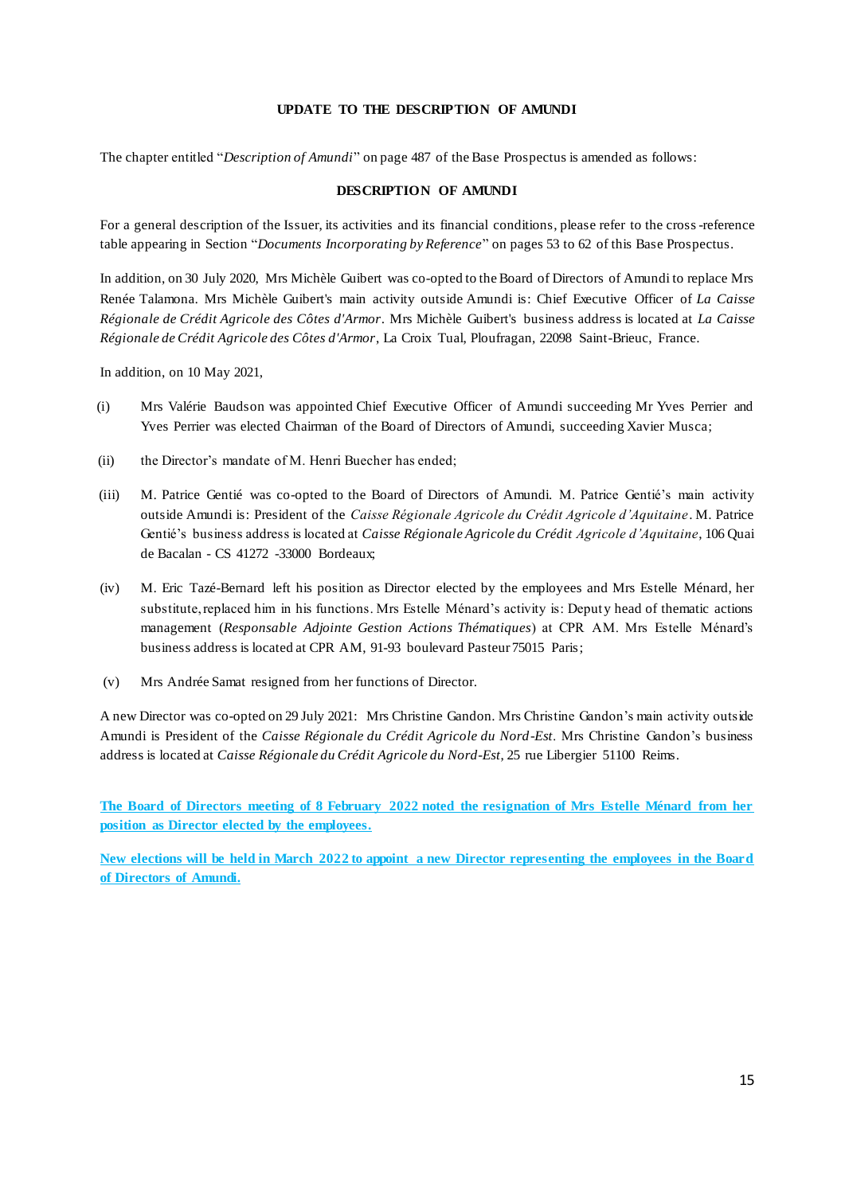#### **UPDATE TO THE DESCRIPTION OF AMUNDI**

The chapter entitled "*Description of Amundi*" on page 487 of the Base Prospectus is amended as follows:

#### **DESCRIPTION OF AMUNDI**

For a general description of the Issuer, its activities and its financial conditions, please refer to the cross-reference table appearing in Section "*Documents Incorporating by Reference*" on pages 53 to 62 of this Base Prospectus.

In addition, on 30 July 2020, Mrs Michèle Guibert was co-opted to the Board of Directors of Amundi to replace Mrs Renée Talamona. Mrs Michèle Guibert's main activity outside Amundi is: Chief Executive Officer of *La Caisse Régionale de Crédit Agricole des Côtes d'Armor*. Mrs Michèle Guibert's business address is located at *La Caisse Régionale de Crédit Agricole des Côtes d'Armor*, La Croix Tual, Ploufragan, 22098 Saint-Brieuc, France.

In addition, on 10 May 2021,

- (i) Mrs Valérie Baudson was appointed Chief Executive Officer of Amundi succeeding Mr Yves Perrier and Yves Perrier was elected Chairman of the Board of Directors of Amundi, succeeding Xavier Musca;
- (ii) the Director's mandate of M. Henri Buecher has ended;
- (iii) M. Patrice Gentié was co-opted to the Board of Directors of Amundi. M. Patrice Gentié's main activity outside Amundi is: President of the *Caisse Régionale Agricole du Crédit Agricole d'Aquitaine*. M. Patrice Gentié's business address is located at *Caisse Régionale Agricole du Crédit Agricole d'Aquitaine*, 106 Quai de Bacalan - CS 41272 -33000 Bordeaux;
- (iv) M. Eric Tazé-Bernard left his position as Director elected by the employees and Mrs Estelle Ménard, her substitute, replaced him in his functions. Mrs Estelle Ménard's activity is: Deputy head of thematic actions management (*Responsable Adjointe Gestion Actions Thématiques*) at CPR AM. Mrs Estelle Ménard's business address is located at CPR AM, 91-93 boulevard Pasteur 75015 Paris;
- (v) Mrs Andrée Samat resigned from her functions of Director.

A new Director was co-opted on 29 July 2021: Mrs Christine Gandon. Mrs Christine Gandon's main activity outside Amundi is President of the *Caisse Régionale du Crédit Agricole du Nord-Est*. Mrs Christine Gandon's business address is located at *Caisse Régionale du Crédit Agricole du Nord-Est*, 25 rue Libergier 51100 Reims.

**The Board of Directors meeting of 8 February 2022 noted the resignation of Mrs Estelle Ménard from her position as Director elected by the employees.**

**New elections will be held in March 2022 to appoint a new Director representing the employees in the Board of Directors of Amundi.**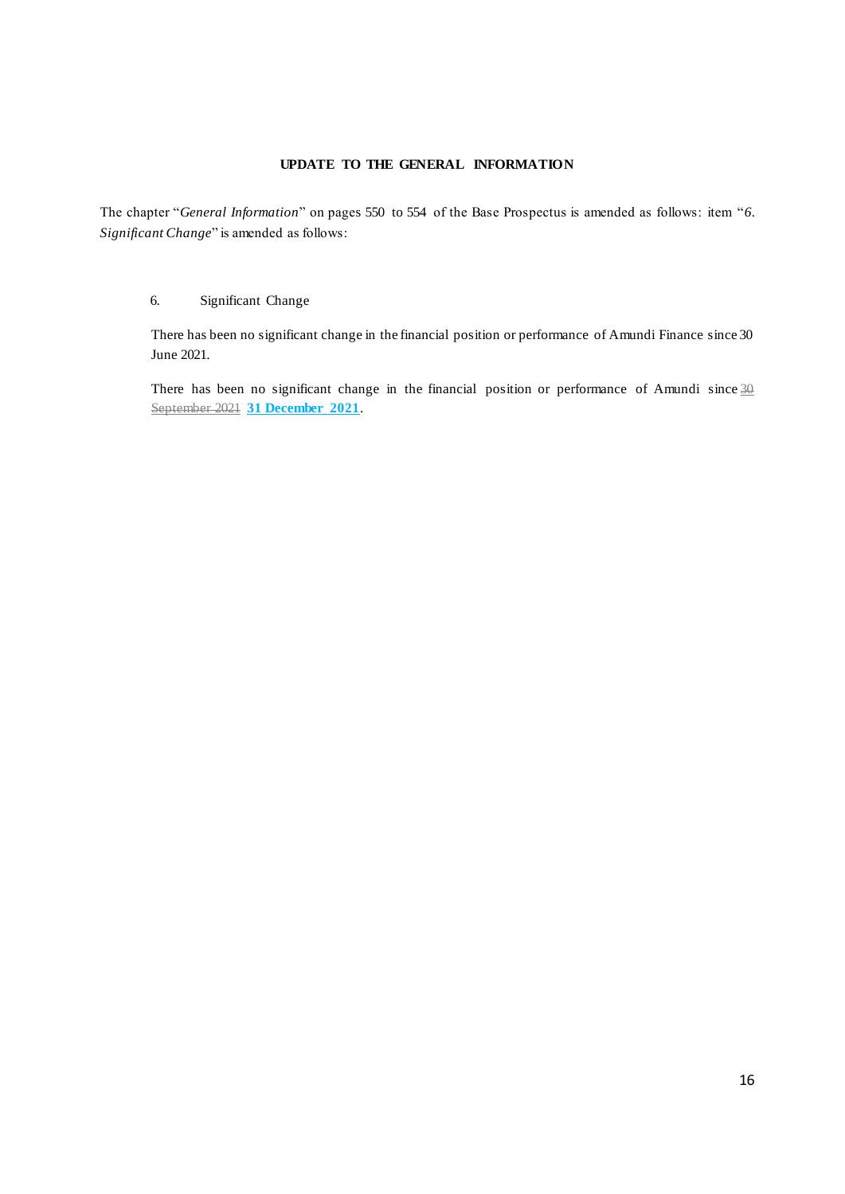# **UPDATE TO THE GENERAL INFORMATION**

<span id="page-15-0"></span>The chapter "*General Information*" on pages 550 to 554 of the Base Prospectus is amended as follows: item "*6. Significant Change*" is amended as follows:

#### 6. Significant Change

There has been no significant change in the financial position or performance of Amundi Finance since 30 June 2021.

There has been no significant change in the financial position or performance of Amundi since  $\frac{30}{20}$ September 2021 **31 December 2021**.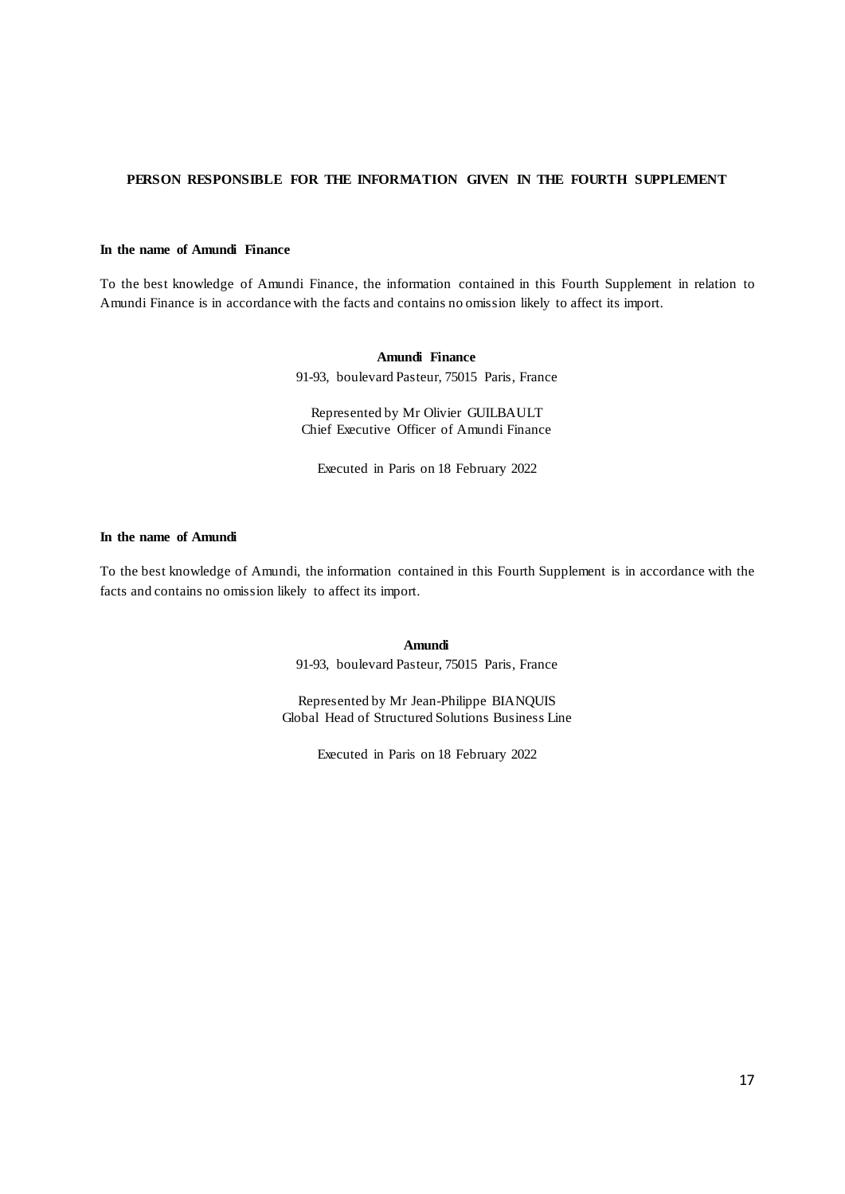# <span id="page-16-0"></span>**PERSON RESPONSIBLE FOR THE INFORMATION GIVEN IN THE FOURTH SUPPLEMENT**

#### **In the name of Amundi Finance**

To the best knowledge of Amundi Finance, the information contained in this Fourth Supplement in relation to Amundi Finance is in accordance with the facts and contains no omission likely to affect its import.

> **Amundi Finance** 91-93, boulevard Pasteur, 75015 Paris, France

Represented by Mr Olivier GUILBAULT Chief Executive Officer of Amundi Finance

Executed in Paris on 18 February 2022

#### **In the name of Amundi**

To the best knowledge of Amundi, the information contained in this Fourth Supplement is in accordance with the facts and contains no omission likely to affect its import.

**Amundi** 

91-93, boulevard Pasteur, 75015 Paris, France

Represented by Mr Jean-Philippe BIANQUIS Global Head of Structured Solutions Business Line

Executed in Paris on 18 February 2022